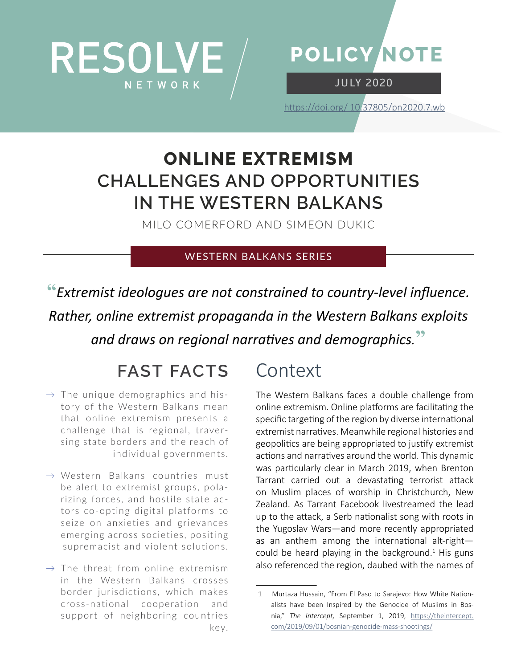



JU LY 2020

[https://doi.org/](https://doi.org/10.37805/pn2020.5.ssa) 10.37805/pn2020.7.wb

## **ONLINE EXTREMISM CHALLENGES AND OPPORTUNITIES IN THE WESTERN BALKANS**

MILO COMERFORD AND SIMEON DUKIC

#### WESTERN BALKANS SERIES

**"***Extremist ideologues are not constrained to country-level influence. Rather, online extremist propaganda in the Western Balkans exploits and draws on regional narratives and demographics.***"**

# **FAST FACTS**

- $\rightarrow$  The unique demographics and history of the Western Balkans mean that online extremism presents a challenge that is regional, traversing state borders and the reach of individual governments.
- $\rightarrow$  Western Balkans countries must be alert to extremist groups, polarizing forces, and hostile state actors co-opting digital platforms to seize on anxieties and grievances emerging across societies, positing supremacist and violent solutions.
- $\rightarrow$  The threat from online extremism in the Western Balkans crosses border jurisdictions, which makes cross-national cooperation and support of neighboring countries key.

## Context

The Western Balkans faces a double challenge from online extremism. Online platforms are facilitating the specific targeting of the region by diverse international extremist narratives. Meanwhile regional histories and geopolitics are being appropriated to justify extremist actions and narratives around the world. This dynamic was particularly clear in March 2019, when Brenton Tarrant carried out a devastating terrorist attack on Muslim places of worship in Christchurch, New Zealand. As Tarrant Facebook livestreamed the lead up to the attack, a Serb nationalist song with roots in the Yugoslav Wars—and more recently appropriated as an anthem among the international alt-right could be heard playing in the background. $1$  His guns also referenced the region, daubed with the names of

<sup>1</sup> Murtaza Hussain, "From El Paso to Sarajevo: How White Nationalists have been Inspired by the Genocide of Muslims in Bosnia," *The Intercept,* September 1, 2019, [https://theintercept.](https://theintercept.com/2019/09/01/bosnian-genocide-mass-shootings/) [com/2019/09/01/bosnian-genocide-mass-shootings/](https://theintercept.com/2019/09/01/bosnian-genocide-mass-shootings/)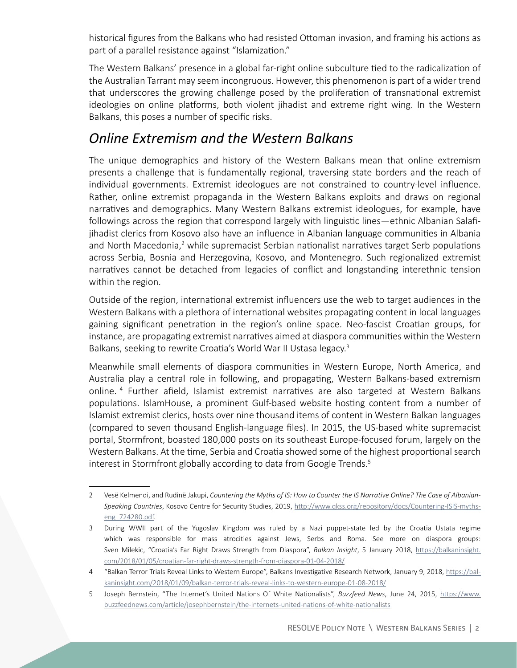historical figures from the Balkans who had resisted Ottoman invasion, and framing his actions as part of a parallel resistance against "Islamization."

The Western Balkans' presence in a global far-right online subculture tied to the radicalization of the Australian Tarrant may seem incongruous. However, this phenomenon is part of a wider trend that underscores the growing challenge posed by the proliferation of transnational extremist ideologies on online platforms, both violent jihadist and extreme right wing. In the Western Balkans, this poses a number of specific risks.

#### *Online Extremism and the Western Balkans*

The unique demographics and history of the Western Balkans mean that online extremism presents a challenge that is fundamentally regional, traversing state borders and the reach of individual governments. Extremist ideologues are not constrained to country-level influence. Rather, online extremist propaganda in the Western Balkans exploits and draws on regional narratives and demographics. Many Western Balkans extremist ideologues, for example, have followings across the region that correspond largely with linguistic lines—ethnic Albanian Salafijihadist clerics from Kosovo also have an influence in Albanian language communities in Albania and North Macedonia,<sup>2</sup> while supremacist Serbian nationalist narratives target Serb populations across Serbia, Bosnia and Herzegovina, Kosovo, and Montenegro. Such regionalized extremist narratives cannot be detached from legacies of conflict and longstanding interethnic tension within the region.

Outside of the region, international extremist influencers use the web to target audiences in the Western Balkans with a plethora of international websites propagating content in local languages gaining significant penetration in the region's online space. Neo-fascist Croatian groups, for instance, are propagating extremist narratives aimed at diaspora communities within the Western Balkans, seeking to rewrite Croatia's World War II Ustasa legacy.<sup>3</sup>

Meanwhile small elements of diaspora communities in Western Europe, North America, and Australia play a central role in following, and propagating, Western Balkans-based extremism online.<sup>4</sup> Further afield, Islamist extremist narratives are also targeted at Western Balkans populations. IslamHouse, a prominent Gulf-based website hosting content from a number of Islamist extremist clerics, hosts over nine thousand items of content in Western Balkan languages (compared to seven thousand English-language files). In 2015, the US-based white supremacist portal, Stormfront, boasted 180,000 posts on its southeast Europe-focused forum, largely on the Western Balkans. At the time, Serbia and Croatia showed some of the highest proportional search interest in Stormfront globally according to data from Google Trends.<sup>5</sup>

<sup>2</sup> Vesë Kelmendi, and Rudinë Jakupi, *Countering the Myths of IS: How to Counter the IS Narrative Online? The Case of Albanian-Speaking Countries*, Kosovo Centre for Security Studies, 2019, [http://www.qkss.org/repository/docs/Countering-ISIS-myths](http://www.qkss.org/repository/docs/Countering-ISIS-myths-eng_724280.pdf)[eng\\_724280.pdf](http://www.qkss.org/repository/docs/Countering-ISIS-myths-eng_724280.pdf).

<sup>3</sup> During WWII part of the Yugoslav Kingdom was ruled by a Nazi puppet-state led by the Croatia Ustata regime which was responsible for mass atrocities against Jews, Serbs and Roma. See more on diaspora groups: Sven Milekic, "Croatia's Far Right Draws Strength from Diaspora", *Balkan Insight*, 5 January 2018, [https://balkaninsight.](https://balkaninsight.com/2018/01/05/croatian-far-right-draws-strength-from-diaspora-01-04-2018/) [com/2018/01/05/croatian-far-right-draws-strength-from-diaspora-01-04-2018/](https://balkaninsight.com/2018/01/05/croatian-far-right-draws-strength-from-diaspora-01-04-2018/)

<sup>4</sup> "Balkan Terror Trials Reveal Links to Western Europe", Balkans Investigative Research Network, January 9, 2018, [https://bal](https://balkaninsight.com/2018/01/09/balkan-terror-trials-reveal-links-to-western-europe-01-08-2018/)[kaninsight.com/2018/01/09/balkan-terror-trials-reveal-links-to-western-europe-01-08-2018/](https://balkaninsight.com/2018/01/09/balkan-terror-trials-reveal-links-to-western-europe-01-08-2018/)

<sup>5</sup> Joseph Bernstein, "The Internet's United Nations Of White Nationalists", *Buzzfeed News*, June 24, 2015, [https://www.](https://www.buzzfeednews.com/article/josephbernstein/the-internets-united-nations-of-white-nationalists) [buzzfeednews.com/article/josephbernstein/the-internets-united-nations-of-white-nationalists](https://www.buzzfeednews.com/article/josephbernstein/the-internets-united-nations-of-white-nationalists)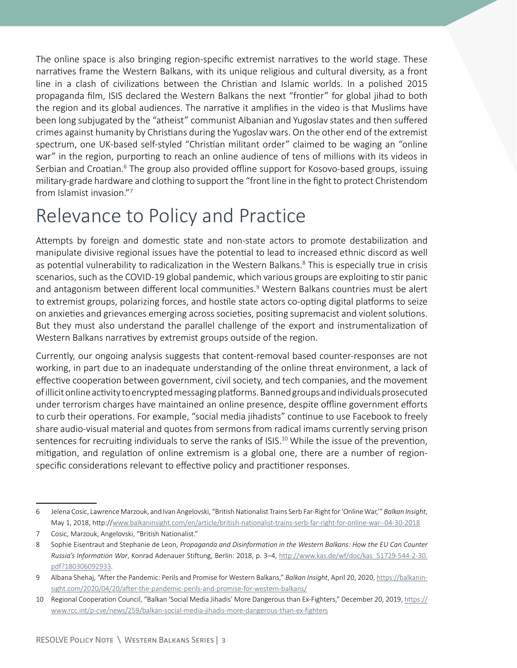The online space is also bringing region-specific extremist narratives to the world stage. These narratives frame the Western Balkans, with its unique religious and cultural diversity, as a front line in a clash of civilizations between the Christian and Islamic worlds. In a polished 2015 propaganda film, ISIS declared the Western Balkans the next "frontier" for global jihad to both the region and its global audiences. The narrative it amplifies in the video is that Muslims have been long subjugated by the "atheist" communist Albanian and Yugoslav states and then suffered crimes against humanity by Christians during the Yugoslav wars. On the other end of the extremist spectrum, one UK-based self-styled "Christian militant order" claimed to be waging an "online war" in the region, purporting to reach an online audience of tens of millions with its videos in Serbian and Croatian.<sup>6</sup> The group also provided offline support for Kosovo-based groups, issuing military-grade hardware and clothing to support the "front line in the fight to protect Christendom from Islamist invasion."<sup>7</sup>

## Relevance to Policy and Practice

Attempts by foreign and domestic state and non-state actors to promote destabilization and manipulate divisive regional issues have the potential to lead to increased ethnic discord as well as potential vulnerability to radicalization in the Western Balkans. $8$  This is especially true in crisis scenarios, such as the COVID-19 global pandemic, which various groups are exploiting to stir panic and antagonism between different local communities.<sup>9</sup> Western Balkans countries must be alert to extremist groups, polarizing forces, and hostile state actors co-opting digital platforms to seize on anxieties and grievances emerging across societies, positing supremacist and violent solutions. But they must also understand the parallel challenge of the export and instrumentalization of Western Balkans narratives by extremist groups outside of the region.

Currently, our ongoing analysis suggests that content-removal based counter-responses are not working, in part due to an inadequate understanding of the online threat environment, a lack of effective cooperation between government, civil society, and tech companies, and the movement of illicit online activity to encrypted messaging platforms. Banned groups and individuals prosecuted under terrorism charges have maintained an online presence, despite offline government efforts to curb their operations. For example, "social media jihadists" continue to use Facebook to freely share audio-visual material and quotes from sermons from radical imams currently serving prison sentences for recruiting individuals to serve the ranks of ISIS.<sup>10</sup> While the issue of the prevention, mitigation, and regulation of online extremism is a global one, there are a number of regionspecific considerations relevant to effective policy and practitioner responses.

<sup>6</sup> Jelena Cosic, Lawrence Marzouk, and Ivan Angelovski, "British Nationalist Trains Serb Far-Right for 'Online War,'" *Balkan Insight*, May 1, 2018, http:/[/www.balkaninsight.com/en/article/british-nationalist-trains-serb-far-right-for-online-war--04-30-2018](http://www.balkaninsight.com/en/article/british-nationalist-trains-serb-far-right-for-online-war--04-30-2018)

<sup>7</sup> Cosic, Marzouk, Angelovski, "British Nationalist."

<sup>8</sup> Sophie Eisentraut and Stephanie de Leon, *Propaganda and Disinformation in the Western Balkans: How the EU Can Counter Russia's Information War*, Konrad Adenauer Stiftung, Berlin: 2018, p. 3–4, [http://www.kas.de/wf/doc/kas\\_51729-544-2-30.](http://www.kas.de/wf/doc/kas_51729-544-2-30.%20pdf?180306092933)  [pdf?180306092933](http://www.kas.de/wf/doc/kas_51729-544-2-30.%20pdf?180306092933).

<sup>9</sup> Albana Shehaj, "After the Pandemic: Perils and Promise for Western Balkans," *Balkan Insight*, April 20, 2020, [https://balkanin](https://balkaninsight.com/2020/04/20/after-the-pandemic-perils-and-promise-for-western-balkans/)[sight.com/2020/04/20/after-the-pandemic-perils-and-promise-for-western-balkans/](https://balkaninsight.com/2020/04/20/after-the-pandemic-perils-and-promise-for-western-balkans/)

<sup>10</sup> Regional Cooperation Council, "Balkan 'Social Media Jihadis' More Dangerous than Ex-Fighters," December 20, 2019, [https://](https://www.rcc.int/p-cve/news/259/balkan-social-media-jihadis-more-dangerous-than-ex-fighters) [www.rcc.int/p-cve/news/259/balkan-social-media-jihadis-more-dangerous-than-ex-fighters](https://www.rcc.int/p-cve/news/259/balkan-social-media-jihadis-more-dangerous-than-ex-fighters)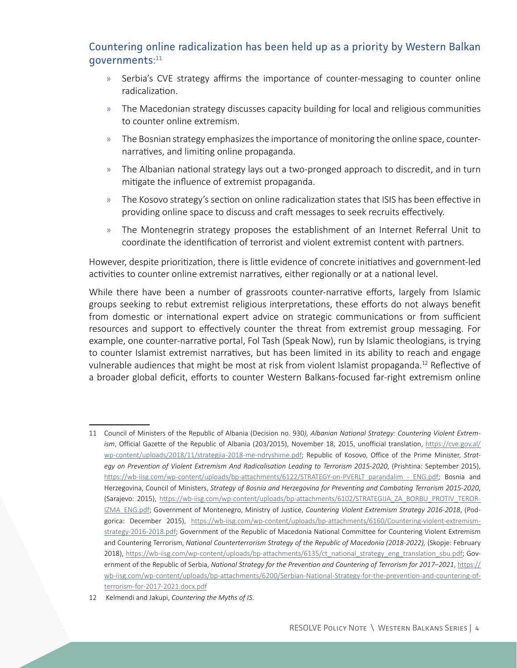#### Countering online radicalization has been held up as a priority by Western Balkan governments: 11

- » Serbia's CVE strategy affirms the importance of counter-messaging to counter online radicalization.
- » The Macedonian strategy discusses capacity building for local and religious communities to counter online extremism.
- » The Bosnian strategy emphasizes the importance of monitoring the online space, counternarratives, and limiting online propaganda.
- » The Albanian national strategy lays out a two-pronged approach to discredit, and in turn mitigate the influence of extremist propaganda.
- » The Kosovo strategy's section on online radicalization states that ISIS has been effective in providing online space to discuss and craft messages to seek recruits effectively.
- » The Montenegrin strategy proposes the establishment of an Internet Referral Unit to coordinate the identification of terrorist and violent extremist content with partners.

However, despite prioritization, there is little evidence of concrete initiatives and government-led activities to counter online extremist narratives, either regionally or at a national level.

While there have been a number of grassroots counter-narrative efforts, largely from Islamic groups seeking to rebut extremist religious interpretations, these efforts do not always benefit from domestic or international expert advice on strategic communications or from sufficient resources and support to effectively counter the threat from extremist group messaging. For example, one counter-narrative portal, Fol Tash (Speak Now), run by Islamic theologians, is trying to counter Islamist extremist narratives, but has been limited in its ability to reach and engage vulnerable audiences that might be most at risk from violent Islamist propaganda.<sup>12</sup> Reflective of a broader global deficit, efforts to counter Western Balkans-focused far-right extremism online

<sup>11</sup> Council of Ministers of the Republic of Albania (Decision no. 930*), Albanian National Strategy: Countering Violent Extremism*, Official Gazette of the Republic of Albania (203/2015), November 18, 2015, unofficial translation, [https://cve.gov.al/](https://cve.gov.al/wp-content/uploads/2018/11/strategjia-2018-me-ndryshime.pdf) [wp-content/uploads/2018/11/strategjia-2018-me-ndryshime.pdf](https://cve.gov.al/wp-content/uploads/2018/11/strategjia-2018-me-ndryshime.pdf); Republic of Kosovo, Office of the Prime Minister, *Strategy on Prevention of Violent Extremism And Radicalisation Leading to Terrorism 2015-2020*, (Prishtina: September 2015), [https://wb-iisg.com/wp-content/uploads/bp-attachments/6122/STRATEGY-on-PVERLT\\_parandalim\\_-\\_ENG.pdf](https://wb-iisg.com/wp-content/uploads/bp-attachments/6122/STRATEGY-on-PVERLT_parandalim_-_ENG.pdf); Bosnia and Herzegovina, Council of Ministers, *Strategy of Bosnia and Herzegovina for Preventing and Combating Terrorism 2015-2020*, (Sarajevo: 2015), [https://wb-iisg.com/wp-content/uploads/bp-attachments/6102/STRATEGIJA\\_ZA\\_BORBU\\_PROTIV\\_TEROR-](https://wb-iisg.com/wp-content/uploads/bp-attachments/6102/STRATEGIJA_ZA_BORBU_PROTIV_TERORIZMA_ENG.pdf)[IZMA\\_ENG.pdf](https://wb-iisg.com/wp-content/uploads/bp-attachments/6102/STRATEGIJA_ZA_BORBU_PROTIV_TERORIZMA_ENG.pdf); Government of Montenegro, Ministry of Justice, *Countering Violent Extremism Strategy 2016-2018*, (Podgorica: December 2015), [https://wb-iisg.com/wp-content/uploads/bp-attachments/6160/Countering-violent-extremism](https://wb-iisg.com/wp-content/uploads/bp-attachments/6160/Countering-violent-extremism-strategy-2016-2018.pdf)[strategy-2016-2018.pdf](https://wb-iisg.com/wp-content/uploads/bp-attachments/6160/Countering-violent-extremism-strategy-2016-2018.pdf); Government of the Republic of Macedonia National Committee for Countering Violent Extremism and Countering Terrorism, *National Counterterrorism Strategy of the Republic of Macedonia (2018-2022),* (Skopje: February 2018), [https://wb-iisg.com/wp-content/uploads/bp-attachments/6135/ct\\_national\\_strategy\\_eng\\_translation\\_sbu.pdf;](https://wb-iisg.com/wp-content/uploads/bp-attachments/6135/ct_national_strategy_eng_translation_sbu.pdf) Government of the Republic of Serbia, *National Strategy for the Prevention and Countering of Terrorism for 2017–2021*, [https://](https://wb-iisg.com/wp-content/uploads/bp-attachments/6200/Serbian-National-Strategy-for-the-prevention-and-countering-of-terrorism-for-2017-2021.docx.pdf) [wb-iisg.com/wp-content/uploads/bp-attachments/6200/Serbian-National-Strategy-for-the-prevention-and-countering-of](https://wb-iisg.com/wp-content/uploads/bp-attachments/6200/Serbian-National-Strategy-for-the-prevention-and-countering-of-terrorism-for-2017-2021.docx.pdf)[terrorism-for-2017-2021.docx.pdf](https://wb-iisg.com/wp-content/uploads/bp-attachments/6200/Serbian-National-Strategy-for-the-prevention-and-countering-of-terrorism-for-2017-2021.docx.pdf)

<sup>12</sup> Kelmendi and Jakupi, *Countering the Myths of IS*.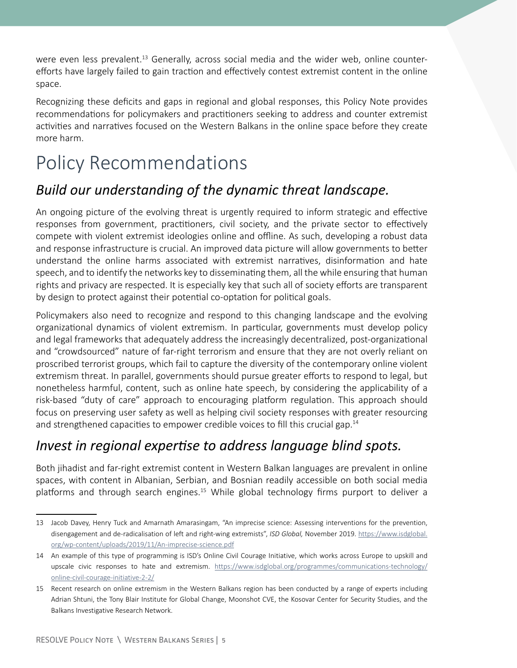were even less prevalent.<sup>13</sup> Generally, across social media and the wider web, online counterefforts have largely failed to gain traction and effectively contest extremist content in the online space.

Recognizing these deficits and gaps in regional and global responses, this Policy Note provides recommendations for policymakers and practitioners seeking to address and counter extremist activities and narratives focused on the Western Balkans in the online space before they create more harm.

# Policy Recommendations

### *Build our understanding of the dynamic threat landscape.*

An ongoing picture of the evolving threat is urgently required to inform strategic and effective responses from government, practitioners, civil society, and the private sector to effectively compete with violent extremist ideologies online and offline. As such, developing a robust data and response infrastructure is crucial. An improved data picture will allow governments to better understand the online harms associated with extremist narratives, disinformation and hate speech, and to identify the networks key to disseminating them, all the while ensuring that human rights and privacy are respected. It is especially key that such all of society efforts are transparent by design to protect against their potential co-optation for political goals.

Policymakers also need to recognize and respond to this changing landscape and the evolving organizational dynamics of violent extremism. In particular, governments must develop policy and legal frameworks that adequately address the increasingly decentralized, post-organizational and "crowdsourced" nature of far-right terrorism and ensure that they are not overly reliant on proscribed terrorist groups, which fail to capture the diversity of the contemporary online violent extremism threat. In parallel, governments should pursue greater efforts to respond to legal, but nonetheless harmful, content, such as online hate speech, by considering the applicability of a risk-based "duty of care" approach to encouraging platform regulation. This approach should focus on preserving user safety as well as helping civil society responses with greater resourcing and strengthened capacities to empower credible voices to fill this crucial gap.<sup>14</sup>

### *Invest in regional expertise to address language blind spots.*

Both jihadist and far-right extremist content in Western Balkan languages are prevalent in online spaces, with content in Albanian, Serbian, and Bosnian readily accessible on both social media platforms and through search engines.<sup>15</sup> While global technology firms purport to deliver a

<sup>13</sup> Jacob Davey, Henry Tuck and Amarnath Amarasingam, "An imprecise science: Assessing interventions for the prevention, disengagement and de-radicalisation of left and right-wing extremists", *ISD Global,* November 2019. [https://www.isdglobal.](https://www.isdglobal.org/wp-content/uploads/2019/11/An-imprecise-science.pdf) [org/wp-content/uploads/2019/11/An-imprecise-science.pdf](https://www.isdglobal.org/wp-content/uploads/2019/11/An-imprecise-science.pdf)

<sup>14</sup> An example of this type of programming is ISD's Online Civil Courage Initiative, which works across Europe to upskill and upscale civic responses to hate and extremism. [https://www.isdglobal.org/programmes/communications-technology/](https://www.isdglobal.org/programmes/communications-technology/online-civil-courage-initiative-2-2/) [online-civil-courage-initiative-2-2/](https://www.isdglobal.org/programmes/communications-technology/online-civil-courage-initiative-2-2/)

<sup>15</sup> Recent research on online extremism in the Western Balkans region has been conducted by a range of experts including Adrian Shtuni, the Tony Blair Institute for Global Change, Moonshot CVE, the Kosovar Center for Security Studies, and the Balkans Investigative Research Network.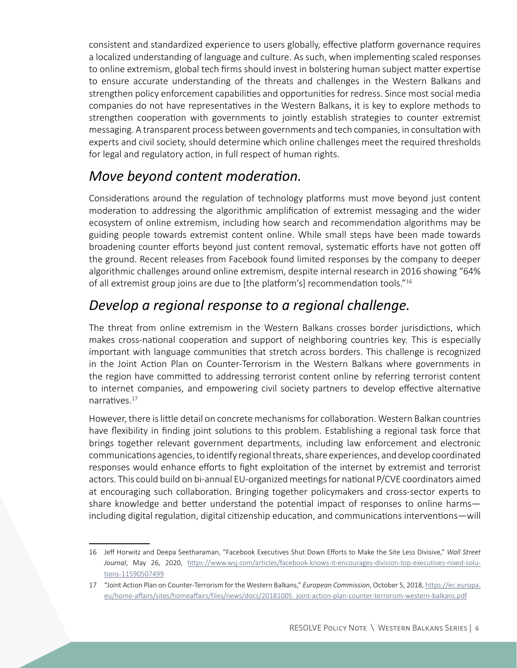consistent and standardized experience to users globally, effective platform governance requires a localized understanding of language and culture. As such, when implementing scaled responses to online extremism, global tech firms should invest in bolstering human subject matter expertise to ensure accurate understanding of the threats and challenges in the Western Balkans and strengthen policy enforcement capabilities and opportunities for redress. Since most social media companies do not have representatives in the Western Balkans, it is key to explore methods to strengthen cooperation with governments to jointly establish strategies to counter extremist messaging. A transparent process between governments and tech companies, in consultation with experts and civil society, should determine which online challenges meet the required thresholds for legal and regulatory action, in full respect of human rights.

### *Move beyond content moderation.*

Considerations around the regulation of technology platforms must move beyond just content moderation to addressing the algorithmic amplification of extremist messaging and the wider ecosystem of online extremism, including how search and recommendation algorithms may be guiding people towards extremist content online. While small steps have been made towards broadening counter efforts beyond just content removal, systematic efforts have not gotten off the ground. Recent releases from Facebook found limited responses by the company to deeper algorithmic challenges around online extremism, despite internal research in 2016 showing "64% of all extremist group joins are due to [the platform's] recommendation tools."<sup>16</sup>

## *Develop a regional response to a regional challenge.*

The threat from online extremism in the Western Balkans crosses border jurisdictions, which makes cross-national cooperation and support of neighboring countries key. This is especially important with language communities that stretch across borders. This challenge is recognized in the Joint Action Plan on Counter-Terrorism in the Western Balkans where governments in the region have committed to addressing terrorist content online by referring terrorist content to internet companies, and empowering civil society partners to develop effective alternative narratives.<sup>17</sup>

However, there is little detail on concrete mechanisms for collaboration. Western Balkan countries have flexibility in finding joint solutions to this problem. Establishing a regional task force that brings together relevant government departments, including law enforcement and electronic communications agencies, to identify regional threats, share experiences, and develop coordinated responses would enhance efforts to fight exploitation of the internet by extremist and terrorist actors. This could build on bi-annual EU-organized meetings for national P/CVE coordinators aimed at encouraging such collaboration. Bringing together policymakers and cross-sector experts to share knowledge and better understand the potential impact of responses to online harms including digital regulation, digital citizenship education, and communications interventions—will

<sup>16</sup> Jeff Horwitz and Deepa Seetharaman, "Facebook Executives Shut Down Efforts to Make the Site Less Divisive," *Wall Street Journal*, May 26, 2020, [https://www.wsj.com/articles/facebook-knows-it-encourages-division-top-executives-nixed-solu](https://www.wsj.com/articles/facebook-knows-it-encourages-division-top-executives-nixed-solutions-11590507499)[tions-11590507499](https://www.wsj.com/articles/facebook-knows-it-encourages-division-top-executives-nixed-solutions-11590507499)

<sup>17</sup> "Joint Action Plan on Counter-Terrorism for the Western Balkans," *European Commission*, October 5, 2018, [https://ec.europa.](https://ec.europa.eu/home-affairs/sites/homeaffairs/files/news/docs/20181005_joint-action-plan-counter-terrorism-western-balkans.pdf) [eu/home-affairs/sites/homeaffairs/files/news/docs/20181005\\_joint-action-plan-counter-terrorism-western-balkans.pdf](https://ec.europa.eu/home-affairs/sites/homeaffairs/files/news/docs/20181005_joint-action-plan-counter-terrorism-western-balkans.pdf)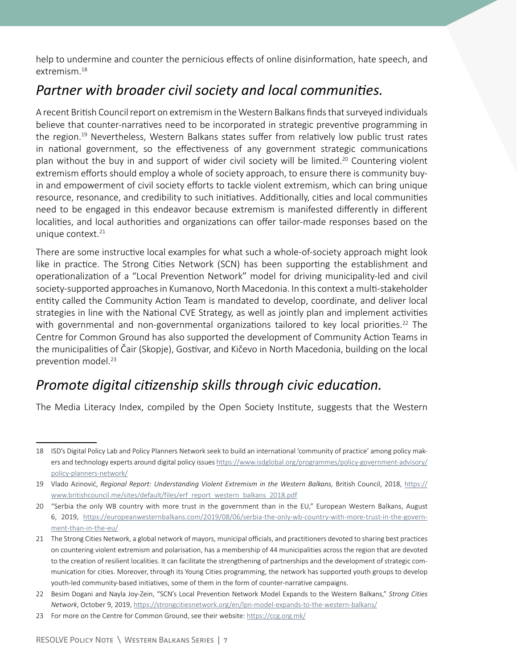help to undermine and counter the pernicious effects of online disinformation, hate speech, and extremism.<sup>18</sup>

### *Partner with broader civil society and local communities.*

A recent British Council report on extremism in the Western Balkans finds that surveyed individuals believe that counter-narratives need to be incorporated in strategic preventive programming in the region.<sup>19</sup> Nevertheless, Western Balkans states suffer from relatively low public trust rates in national government, so the effectiveness of any government strategic communications plan without the buy in and support of wider civil society will be limited.<sup>20</sup> Countering violent extremism efforts should employ a whole of society approach, to ensure there is community buyin and empowerment of civil society efforts to tackle violent extremism, which can bring unique resource, resonance, and credibility to such initiatives. Additionally, cities and local communities need to be engaged in this endeavor because extremism is manifested differently in different localities, and local authorities and organizations can offer tailor-made responses based on the unique context. $21$ 

There are some instructive local examples for what such a whole-of-society approach might look like in practice. The Strong Cities Network (SCN) has been supporting the establishment and operationalization of a "Local Prevention Network" model for driving municipality-led and civil society-supported approaches in Kumanovo, North Macedonia. In this context a multi-stakeholder entity called the Community Action Team is mandated to develop, coordinate, and deliver local strategies in line with the National CVE Strategy, as well as jointly plan and implement activities with governmental and non-governmental organizations tailored to key local priorities.<sup>22</sup> The Centre for Common Ground has also supported the development of Community Action Teams in the municipalities of Čair (Skopje), Gostivar, and Kičevo in North Macedonia, building on the local prevention model.<sup>23</sup>

### *Promote digital citizenship skills through civic education.*

The Media Literacy Index, compiled by the Open Society Institute, suggests that the Western

<sup>18</sup> ISD's Digital Policy Lab and Policy Planners Network seek to build an international 'community of practice' among policy makers and technology experts around digital policy issues [https://www.isdglobal.org/programmes/policy-government-advisory/](https://www.isdglobal.org/programmes/policy-government-advisory/policy-planners-network/) [policy-planners-network/](https://www.isdglobal.org/programmes/policy-government-advisory/policy-planners-network/)

<sup>19</sup> Vlado Azinović, *Regional Report: Understanding Violent Extremism in the Western Balkans*, British Council, 2018, [https://](https://www.britishcouncil.me/sites/default/files/erf_report_western_balkans_2018.pdf) [www.britishcouncil.me/sites/default/files/erf\\_report\\_western\\_balkans\\_2018.pdf](https://www.britishcouncil.me/sites/default/files/erf_report_western_balkans_2018.pdf)

<sup>20</sup> "Serbia the only WB country with more trust in the government than in the EU," European Western Balkans, August 6, 2019, [https://europeanwesternbalkans.com/2019/08/06/serbia-the-only-wb-country-with-more-trust-in-the-govern](https://europeanwesternbalkans.com/2019/08/06/serbia-the-only-wb-country-with-more-trust-in-the-government-than-in-the-eu/)[ment-than-in-the-eu/](https://europeanwesternbalkans.com/2019/08/06/serbia-the-only-wb-country-with-more-trust-in-the-government-than-in-the-eu/)

<sup>21</sup> The Strong Cities Network, a global network of mayors, municipal officials, and practitioners devoted to sharing best practices on countering violent extremism and polarisation, has a membership of 44 municipalities across the region that are devoted to the creation of resilient localities. It can facilitate the strengthening of partnerships and the development of strategic communication for cities. Moreover, through its Young Cities programming, the network has supported youth groups to develop youth-led community-based initiatives, some of them in the form of counter-narrative campaigns.

<sup>22</sup> Besim Dogani and Nayla Joy-Zein, "SCN's Local Prevention Network Model Expands to the Western Balkans," *Strong Cities Network*, October 9, 2019,<https://strongcitiesnetwork.org/en/lpn-model-expands-to-the-western-balkans/>

<sup>23</sup> For more on the Centre for Common Ground, see their website:<https://ccg.org.mk/>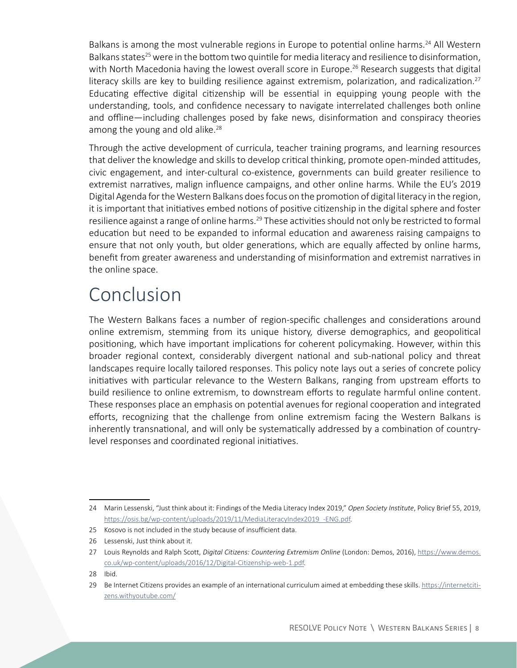Balkans is among the most vulnerable regions in Europe to potential online harms.<sup>24</sup> All Western Balkans states<sup>25</sup> were in the bottom two quintile for media literacy and resilience to disinformation, with North Macedonia having the lowest overall score in Europe.<sup>26</sup> Research suggests that digital literacy skills are key to building resilience against extremism, polarization, and radicalization.<sup>27</sup> Educating effective digital citizenship will be essential in equipping young people with the understanding, tools, and confidence necessary to navigate interrelated challenges both online and offline—including challenges posed by fake news, disinformation and conspiracy theories among the young and old alike. $28$ 

Through the active development of curricula, teacher training programs, and learning resources that deliver the knowledge and skills to develop critical thinking, promote open-minded attitudes, civic engagement, and inter-cultural co-existence, governments can build greater resilience to extremist narratives, malign influence campaigns, and other online harms. While the EU's 2019 Digital Agenda for the Western Balkans does focus on the promotion of digital literacy in the region, it is important that initiatives embed notions of positive citizenship in the digital sphere and foster resilience against a range of online harms.<sup>29</sup> These activities should not only be restricted to formal education but need to be expanded to informal education and awareness raising campaigns to ensure that not only youth, but older generations, which are equally affected by online harms, benefit from greater awareness and understanding of misinformation and extremist narratives in the online space.

## Conclusion

The Western Balkans faces a number of region-specific challenges and considerations around online extremism, stemming from its unique history, diverse demographics, and geopolitical positioning, which have important implications for coherent policymaking. However, within this broader regional context, considerably divergent national and sub-national policy and threat landscapes require locally tailored responses. This policy note lays out a series of concrete policy initiatives with particular relevance to the Western Balkans, ranging from upstream efforts to build resilience to online extremism, to downstream efforts to regulate harmful online content. These responses place an emphasis on potential avenues for regional cooperation and integrated efforts, recognizing that the challenge from online extremism facing the Western Balkans is inherently transnational, and will only be systematically addressed by a combination of countrylevel responses and coordinated regional initiatives.

<sup>24</sup> Marin Lessenski, "Just think about it: Findings of the Media Literacy Index 2019," *Open Society Institute*, Policy Brief 55, 2019, https://osis.bg/wp-content/uploads/2019/11/MediaLiteracyIndex2019 -ENG.pdf.

<sup>25</sup> Kosovo is not included in the study because of insufficient data.

<sup>26</sup> Lessenski, Just think about it.

<sup>27</sup> Louis Reynolds and Ralph Scott, *Digital Citizens: Countering Extremism Online* (London: Demos, 2016), [https://www.demos.](https://www.demos.co.uk/wp-content/uploads/2016/12/Digital-Citizenship-web-1.pdf) [co.uk/wp-content/uploads/2016/12/Digital-Citizenship-web-1.pdf](https://www.demos.co.uk/wp-content/uploads/2016/12/Digital-Citizenship-web-1.pdf).

<sup>28</sup> Ibid.

<sup>29</sup> Be Internet Citizens provides an example of an international curriculum aimed at embedding these skills. [https://internetciti](https://internetcitizens.withyoutube.com/)[zens.withyoutube.com/](https://internetcitizens.withyoutube.com/)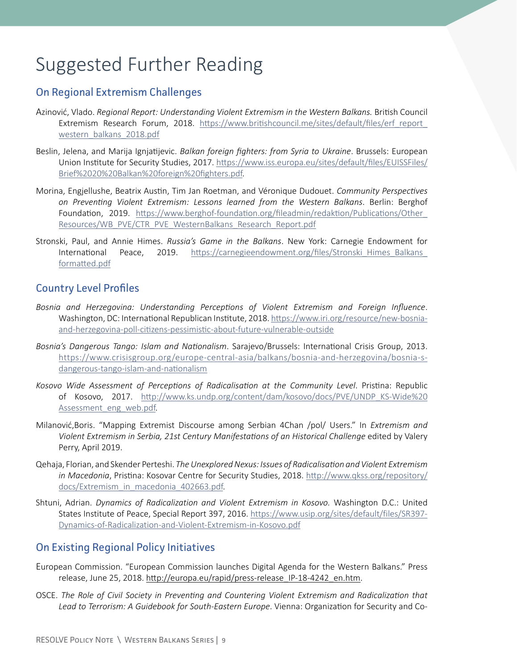# Suggested Further Reading

#### On Regional Extremism Challenges

- Azinović, Vlado. *Regional Report: Understanding Violent Extremism in the Western Balkans.* British Council Extremism Research Forum, 2018. [https://www.britishcouncil.me/sites/default/files/erf\\_report\\_](https://www.britishcouncil.me/sites/default/files/erf_report_western_balkans_2018.pdf) [western\\_balkans\\_2018.pdf](https://www.britishcouncil.me/sites/default/files/erf_report_western_balkans_2018.pdf)
- Beslin, Jelena, and Marija Ignjatijevic. *Balkan foreign fighters: from Syria to Ukraine*. Brussels: European Union Institute for Security Studies, 2017. [https://www.iss.europa.eu/sites/default/files/EUISSFiles/](https://www.iss.europa.eu/sites/default/files/EUISSFiles/Brief%2020%20Balkan%20foreign%20fighters.pdf) [Brief%2020%20Balkan%20foreign%20fighters.pdf](https://www.iss.europa.eu/sites/default/files/EUISSFiles/Brief%2020%20Balkan%20foreign%20fighters.pdf).
- Morina, Engjellushe, Beatrix Austin, Tim Jan Roetman, and Véronique Dudouet. *Community Perspectives on Preventing Violent Extremism: Lessons learned from the Western Balkans*. Berlin: Berghof Foundation, 2019. [https://www.berghof-foundation.org/fileadmin/redaktion/Publications/Other\\_](https://www.berghof-foundation.org/fileadmin/redaktion/Publications/Other_Resources/WB_PVE/CTR_PVE_WesternBalkans_Research_Report.pdf) [Resources/WB\\_PVE/CTR\\_PVE\\_WesternBalkans\\_Research\\_Report.pdf](https://www.berghof-foundation.org/fileadmin/redaktion/Publications/Other_Resources/WB_PVE/CTR_PVE_WesternBalkans_Research_Report.pdf)
- Stronski, Paul, and Annie Himes. *Russia's Game in the Balkans*. New York: Carnegie Endowment for International Peace, 2019. [https://carnegieendowment.org/files/Stronski\\_Himes\\_Balkans\\_](https://carnegieendowment.org/files/Stronski_Himes_Balkans_formatted.pdf) [formatted.pdf](https://carnegieendowment.org/files/Stronski_Himes_Balkans_formatted.pdf)

#### Country Level Profiles

- *Bosnia and Herzegovina: Understanding Perceptions of Violent Extremism and Foreign Influence*. Washington, DC: International Republican Institute, 2018. [https://www.iri.org/resource/new-bosnia](https://www.iri.org/resource/new-bosnia-and-herzegovina-poll-citizens-pessimistic-about-future-vulnerable-outside)[and-herzegovina-poll-citizens-pessimistic-about-future-vulnerable-outside](https://www.iri.org/resource/new-bosnia-and-herzegovina-poll-citizens-pessimistic-about-future-vulnerable-outside)
- *Bosnia's Dangerous Tango: Islam and Nationalism*. Sarajevo/Brussels: International Crisis Group, 2013. [https://www.crisisgroup.org/europe-central-asia/balkans/bosnia-and-herzegovina/bosnia-s](https://www.crisisgroup.org/europe-central-asia/balkans/bosnia-and-herzegovina/bosnia-s-dangerous-tango-islam-and-nationalism)[dangerous-tango-islam-and-nationalism](https://www.crisisgroup.org/europe-central-asia/balkans/bosnia-and-herzegovina/bosnia-s-dangerous-tango-islam-and-nationalism)
- *Kosovo Wide Assessment of Perceptions of Radicalisation at the Community Level*. Pristina: Republic of Kosovo, 2017. [http://www.ks.undp.org/content/dam/kosovo/docs/PVE/UNDP\\_KS-Wide%20](http://www.ks.undp.org/content/dam/kosovo/docs/PVE/UNDP_KS-Wide%20Assessment_eng_web.pdf) [Assessment\\_eng\\_web.pdf](http://www.ks.undp.org/content/dam/kosovo/docs/PVE/UNDP_KS-Wide%20Assessment_eng_web.pdf).
- Milanović,Boris. "Mapping Extremist Discourse among Serbian 4Chan /pol/ Users." In *Extremism and Violent Extremism in Serbia, 21st Century Manifestations of an Historical Challenge* edited by Valery Perry, April 2019.
- Qehaja, Florian, and Skender Perteshi. *The Unexplored Nexus: Issues of Radicalisation and Violent Extremism in Macedonia*, Pristina: Kosovar Centre for Security Studies, 2018. [http://www.qkss.org/repository/](http://www.qkss.org/repository/docs/Extremism_in_macedonia_402663.pdf) [docs/Extremism\\_in\\_macedonia\\_402663.pdf](http://www.qkss.org/repository/docs/Extremism_in_macedonia_402663.pdf).
- Shtuni, Adrian. *Dynamics of Radicalization and Violent Extremism in Kosovo.* Washington D.C.: United States Institute of Peace, Special Report 397, 2016. [https://www.usip.org/sites/default/files/SR397-](https://www.usip.org/sites/default/files/SR397-Dynamics-of-Radicalization-and-Violent-Extremism-in-Kosovo.pdf) [Dynamics-of-Radicalization-and-Violent-Extremism-in-Kosovo.pdf](https://www.usip.org/sites/default/files/SR397-Dynamics-of-Radicalization-and-Violent-Extremism-in-Kosovo.pdf)

#### On Existing Regional Policy Initiatives

- European Commission. "European Commission launches Digital Agenda for the Western Balkans." Press release, June 25, 2018. [http://europa.eu/rapid/press-release\\_IP-18-4242\\_en.htm](http://europa.eu/rapid/press-release_IP-18-4242_en.htm).
- OSCE. *The Role of Civil Society in Preventing and Countering Violent Extremism and Radicalization that Lead to Terrorism: A Guidebook for South-Eastern Europe*. Vienna: Organization for Security and Co-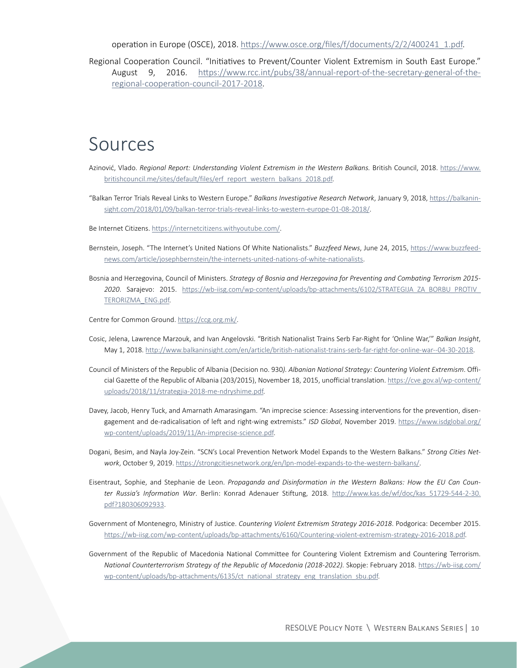operation in Europe (OSCE), 2018. [https://www.osce.org/files/f/documents/2/2/400241\\_1.pdf](https://www.osce.org/files/f/documents/2/2/400241_1.pdf).

Regional Cooperation Council. "Initiatives to Prevent/Counter Violent Extremism in South East Europe." August 9, 2016. [https://www.rcc.int/pubs/38/annual-report-of-the-secretary-general-of-the](https://www.rcc.int/pubs/38/annual-report-of-the-secretary-general-of-the-regional-cooperation-council-2017-2018)[regional-cooperation-council-2017-2018](https://www.rcc.int/pubs/38/annual-report-of-the-secretary-general-of-the-regional-cooperation-council-2017-2018).

### Sources

- Azinović, Vlado. *Regional Report: Understanding Violent Extremism in the Western Balkans*. British Council, 2018. [https://www.](https://www.britishcouncil.me/sites/default/files/erf_report_western_balkans_2018.pdf) [britishcouncil.me/sites/default/files/erf\\_report\\_western\\_balkans\\_2018.pdf](https://www.britishcouncil.me/sites/default/files/erf_report_western_balkans_2018.pdf).
- "Balkan Terror Trials Reveal Links to Western Europe." *Balkans Investigative Research Network*, January 9, 2018, [https://balkanin](https://balkaninsight.com/2018/01/09/balkan-terror-trials-reveal-links-to-western-europe-01-08-2018/)[sight.com/2018/01/09/balkan-terror-trials-reveal-links-to-western-europe-01-08-2018/](https://balkaninsight.com/2018/01/09/balkan-terror-trials-reveal-links-to-western-europe-01-08-2018/).
- Be Internet Citizens. <https://internetcitizens.withyoutube.com/>.
- Bernstein, Joseph. "The Internet's United Nations Of White Nationalists." *Buzzfeed News*, June 24, 2015, [https://www.buzzfeed](https://www.buzzfeednews.com/article/josephbernstein/the-internets-united-nations-of-white-nationalists)[news.com/article/josephbernstein/the-internets-united-nations-of-white-nationalists](https://www.buzzfeednews.com/article/josephbernstein/the-internets-united-nations-of-white-nationalists).
- Bosnia and Herzegovina, Council of Ministers. *Strategy of Bosnia and Herzegovina for Preventing and Combating Terrorism 2015- 2020*. Sarajevo: 2015. [https://wb-iisg.com/wp-content/uploads/bp-attachments/6102/STRATEGIJA\\_ZA\\_BORBU\\_PROTIV\\_](https://wb-iisg.com/wp-content/uploads/bp-attachments/6102/STRATEGIJA_ZA_BORBU_PROTIV_TERORIZMA_ENG.pdf) [TERORIZMA\\_ENG.pdf](https://wb-iisg.com/wp-content/uploads/bp-attachments/6102/STRATEGIJA_ZA_BORBU_PROTIV_TERORIZMA_ENG.pdf).
- Centre for Common Ground. <https://ccg.org.mk/>.
- Cosic, Jelena, Lawrence Marzouk, and Ivan Angelovski. "British Nationalist Trains Serb Far-Right for 'Online War,'" *Balkan Insight*, May 1, 2018. http:/[/www.balkaninsight.com/en/article/british-nationalist-trains-serb-far-right-for-online-war--04-30-2018](http://www.balkaninsight.com/en/article/british-nationalist-trains-serb-far-right-for-online-war--04-30-2018).
- Council of Ministers of the Republic of Albania (Decision no. 930*). Albanian National Strategy: Countering Violent Extremism*. Official Gazette of the Republic of Albania (203/2015), November 18, 2015, unofficial translation. [https://cve.gov.al/wp-content/](https://cve.gov.al/wp-content/uploads/2018/11/strategjia-2018-me-ndryshime.pdf) [uploads/2018/11/strategjia-2018-me-ndryshime.pdf](https://cve.gov.al/wp-content/uploads/2018/11/strategjia-2018-me-ndryshime.pdf).
- Davey, Jacob, Henry Tuck, and Amarnath Amarasingam. "An imprecise science: Assessing interventions for the prevention, disengagement and de-radicalisation of left and right-wing extremists." *ISD Global*, November 2019. [https://www.isdglobal.org/](https://www.isdglobal.org/wp-content/uploads/2019/11/An-imprecise-science.pdf) [wp-content/uploads/2019/11/An-imprecise-science.pdf](https://www.isdglobal.org/wp-content/uploads/2019/11/An-imprecise-science.pdf).
- Dogani, Besim, and Nayla Joy-Zein. "SCN's Local Prevention Network Model Expands to the Western Balkans." *Strong Cities Network*, October 9, 2019.<https://strongcitiesnetwork.org/en/lpn-model-expands-to-the-western-balkans/>.
- Eisentraut, Sophie, and Stephanie de Leon. *Propaganda and Disinformation in the Western Balkans: How the EU Can Counter Russia's Information War*. Berlin: Konrad Adenauer Stiftung, 2018. [http://www.kas.de/wf/doc/kas\\_51729-544-2-30.](http://www.kas.de/wf/doc/kas_51729-544-2-30.%20pdf?180306092933) [pdf?180306092933](http://www.kas.de/wf/doc/kas_51729-544-2-30.%20pdf?180306092933).
- Government of Montenegro, Ministry of Justice. *Countering Violent Extremism Strategy 2016-2018*. Podgorica: December 2015. <https://wb-iisg.com/wp-content/uploads/bp-attachments/6160/Countering-violent-extremism-strategy-2016-2018.pdf>.
- Government of the Republic of Macedonia National Committee for Countering Violent Extremism and Countering Terrorism. *National Counterterrorism Strategy of the Republic of Macedonia (2018-2022).* Skopje: February 2018. [https://wb-iisg.com/](https://wb-iisg.com/wp-content/uploads/bp-attachments/6135/ct_national_strategy_eng_translation_sbu.pdf) [wp-content/uploads/bp-attachments/6135/ct\\_national\\_strategy\\_eng\\_translation\\_sbu.pdf](https://wb-iisg.com/wp-content/uploads/bp-attachments/6135/ct_national_strategy_eng_translation_sbu.pdf).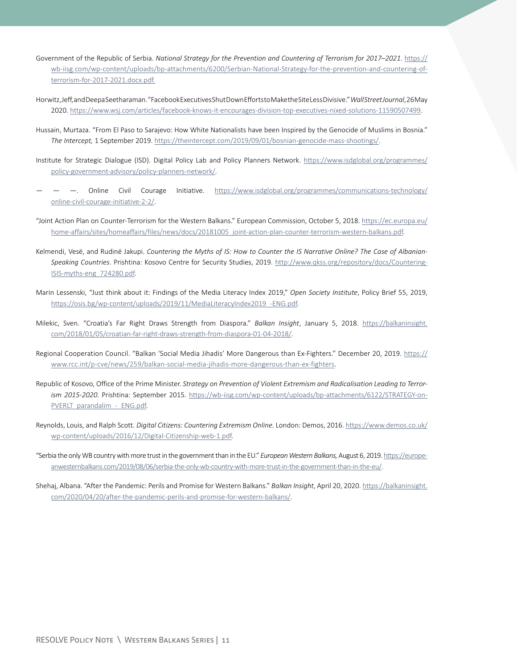- Government of the Republic of Serbia. *National Strategy for the Prevention and Countering of Terrorism for 2017–2021*. [https://](https://wb-iisg.com/wp-content/uploads/bp-attachments/6200/Serbian-National-Strategy-for-the-prevention-and-countering-of-terrorism-for-2017-2021.docx.pdf) [wb-iisg.com/wp-content/uploads/bp-attachments/6200/Serbian-National-Strategy-for-the-prevention-and-countering-of](https://wb-iisg.com/wp-content/uploads/bp-attachments/6200/Serbian-National-Strategy-for-the-prevention-and-countering-of-terrorism-for-2017-2021.docx.pdf)[terrorism-for-2017-2021.docx.pdf.](https://wb-iisg.com/wp-content/uploads/bp-attachments/6200/Serbian-National-Strategy-for-the-prevention-and-countering-of-terrorism-for-2017-2021.docx.pdf)
- Horwitz, Jeff, and Deepa Seetharaman. "Facebook Executives Shut Down Efforts to Make the Site Less Divisive." *Wall Street Journal*, 26 May 2020. <https://www.wsj.com/articles/facebook-knows-it-encourages-division-top-executives-nixed-solutions-11590507499>.
- Hussain, Murtaza. "From El Paso to Sarajevo: How White Nationalists have been Inspired by the Genocide of Muslims in Bosnia." *The Intercept,* 1 September 2019.<https://theintercept.com/2019/09/01/bosnian-genocide-mass-shootings/>.
- Institute for Strategic Dialogue (ISD). Digital Policy Lab and Policy Planners Network. [https://www.isdglobal.org/programmes/](https://www.isdglobal.org/programmes/policy-government-advisory/policy-planners-network/) [policy-government-advisory/policy-planners-network/](https://www.isdglobal.org/programmes/policy-government-advisory/policy-planners-network/).
- — —. Online Civil Courage Initiative. [https://www.isdglobal.org/programmes/communications-technology/](https://www.isdglobal.org/programmes/communications-technology/online-civil-courage-initiative-2-2/) [online-civil-courage-initiative-2-2/](https://www.isdglobal.org/programmes/communications-technology/online-civil-courage-initiative-2-2/).
- "Joint Action Plan on Counter-Terrorism for the Western Balkans." European Commission, October 5, 2018. [https://ec.europa.eu/](https://ec.europa.eu/home-affairs/sites/homeaffairs/files/news/docs/20181005_joint-action-plan-counter-terrorism-western-balkans.pdf) [home-affairs/sites/homeaffairs/files/news/docs/20181005\\_joint-action-plan-counter-terrorism-western-balkans.pdf](https://ec.europa.eu/home-affairs/sites/homeaffairs/files/news/docs/20181005_joint-action-plan-counter-terrorism-western-balkans.pdf).
- Kelmendi, Vesë, and Rudinë Jakupi. *Countering the Myths of IS: How to Counter the IS Narrative Online? The Case of Albanian-Speaking Countries*. Prishtina: Kosovo Centre for Security Studies, 2019. [http://www.qkss.org/repository/docs/Countering-](http://www.qkss.org/repository/docs/Countering-ISIS-myths-eng_724280.pdf)[ISIS-myths-eng\\_724280.pdf](http://www.qkss.org/repository/docs/Countering-ISIS-myths-eng_724280.pdf).
- Marin Lessenski, "Just think about it: Findings of the Media Literacy Index 2019," *Open Society Institute*, Policy Brief 55, 2019, [https://osis.bg/wp-content/uploads/2019/11/MediaLiteracyIndex2019\\_-ENG.pdf](https://osis.bg/wp-content/uploads/2019/11/MediaLiteracyIndex2019_-ENG.pdf).
- Milekic, Sven. "Croatia's Far Right Draws Strength from Diaspora." *Balkan Insight*, January 5, 2018. [https://balkaninsight.](https://balkaninsight.com/2018/01/05/croatian-far-right-draws-strength-from-diaspora-01-04-2018/) [com/2018/01/05/croatian-far-right-draws-strength-from-diaspora-01-04-2018/](https://balkaninsight.com/2018/01/05/croatian-far-right-draws-strength-from-diaspora-01-04-2018/).
- Regional Cooperation Council. "Balkan 'Social Media Jihadis' More Dangerous than Ex-Fighters." December 20, 2019. [https://](https://www.rcc.int/p-cve/news/259/balkan-social-media-jihadis-more-dangerous-than-ex-fighters) [www.rcc.int/p-cve/news/259/balkan-social-media-jihadis-more-dangerous-than-ex-fighters](https://www.rcc.int/p-cve/news/259/balkan-social-media-jihadis-more-dangerous-than-ex-fighters).
- Republic of Kosovo, Office of the Prime Minister. *Strategy on Prevention of Violent Extremism and Radicalisation Leading to Terrorism 2015-2020*. Prishtina: September 2015. [https://wb-iisg.com/wp-content/uploads/bp-attachments/6122/STRATEGY-on-](https://wb-iisg.com/wp-content/uploads/bp-attachments/6122/STRATEGY-on-PVERLT_parandalim_-_ENG.pdf)PVERLT\_parandalim - ENG.pdf.
- Reynolds, Louis, and Ralph Scott. *Digital Citizens: Countering Extremism Online.* London: Demos, 2016. [https://www.demos.co.uk/](https://www.demos.co.uk/wp-content/uploads/2016/12/Digital-Citizenship-web-1.pdf) [wp-content/uploads/2016/12/Digital-Citizenship-web-1.pdf](https://www.demos.co.uk/wp-content/uploads/2016/12/Digital-Citizenship-web-1.pdf).
- "Serbia the only WB country with more trust in the government than in the EU." *European Western Balkans,* August 6, 2019. [https://europe](https://europeanwesternbalkans.com/2019/08/06/serbia-the-only-wb-country-with-more-trust-in-the-government-than-in-the-eu/)[anwesternbalkans.com/2019/08/06/serbia-the-only-wb-country-with-more-trust-in-the-government-than-in-the-eu/](https://europeanwesternbalkans.com/2019/08/06/serbia-the-only-wb-country-with-more-trust-in-the-government-than-in-the-eu/).
- Shehaj, Albana. "After the Pandemic: Perils and Promise for Western Balkans." *Balkan Insight*, April 20, 2020. [https://balkaninsight.](https://balkaninsight.com/2020/04/20/after-the-pandemic-perils-and-promise-for-western-balkans/) [com/2020/04/20/after-the-pandemic-perils-and-promise-for-western-balkans/](https://balkaninsight.com/2020/04/20/after-the-pandemic-perils-and-promise-for-western-balkans/).